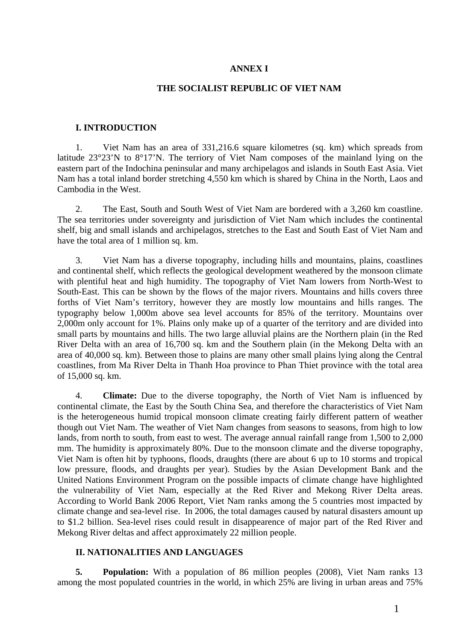### **ANNEX I**

### **THE SOCIALIST REPUBLIC OF VIET NAM**

#### **I. INTRODUCTION**

1. Viet Nam has an area of 331,216.6 square kilometres (sq. km) which spreads from latitude 23°23'N to 8°17'N. The terriory of Viet Nam composes of the mainland lying on the eastern part of the Indochina peninsular and many archipelagos and islands in South East Asia. Viet Nam has a total inland border stretching 4,550 km which is shared by China in the North, Laos and Cambodia in the West.

2. The East, South and South West of Viet Nam are bordered with a 3,260 km coastline. The sea territories under sovereignty and jurisdiction of Viet Nam which includes the continental shelf, big and small islands and archipelagos, stretches to the East and South East of Viet Nam and have the total area of 1 million sq. km.

3. Viet Nam has a diverse topography, including hills and mountains, plains, coastlines and continental shelf, which reflects the geological development weathered by the monsoon climate with plentiful heat and high humidity. The topography of Viet Nam lowers from North-West to South-East. This can be shown by the flows of the major rivers. Mountains and hills covers three forths of Viet Nam's territory, however they are mostly low mountains and hills ranges. The typography below 1,000m above sea level accounts for 85% of the territory. Mountains over 2,000m only account for 1%. Plains only make up of a quarter of the territory and are divided into small parts by mountains and hills. The two large alluvial plains are the Northern plain (in the Red River Delta with an area of 16,700 sq. km and the Southern plain (in the Mekong Delta with an area of 40,000 sq. km). Between those to plains are many other small plains lying along the Central coastlines, from Ma River Delta in Thanh Hoa province to Phan Thiet province with the total area of 15,000 sq. km.

4. **Climate:** Due to the diverse topography, the North of Viet Nam is influenced by continental climate, the East by the South China Sea, and therefore the characteristics of Viet Nam is the heterogeneous humid tropical monsoon climate creating fairly different pattern of weather though out Viet Nam. The weather of Viet Nam changes from seasons to seasons, from high to low lands, from north to south, from east to west. The average annual rainfall range from 1,500 to 2,000 mm. The humidity is approximately 80%. Due to the monsoon climate and the diverse topography, Viet Nam is often hit by typhoons, floods, draughts (there are about 6 up to 10 storms and tropical low pressure, floods, and draughts per year). Studies by the Asian Development Bank and the United Nations Environment Program on the possible impacts of climate change have highlighted the vulnerability of Viet Nam, especially at the Red River and Mekong River Delta areas. According to World Bank 2006 Report, Viet Nam ranks among the 5 countries most impacted by climate change and sea-level rise. In 2006, the total damages caused by natural disasters amount up to \$1.2 billion. Sea-level rises could result in disappearence of major part of the Red River and Mekong River deltas and affect approximately 22 million people.

### **II. NATIONALITIES AND LANGUAGES**

**5. Population:** With a population of 86 million peoples (2008), Viet Nam ranks 13 among the most populated countries in the world, in which 25% are living in urban areas and 75%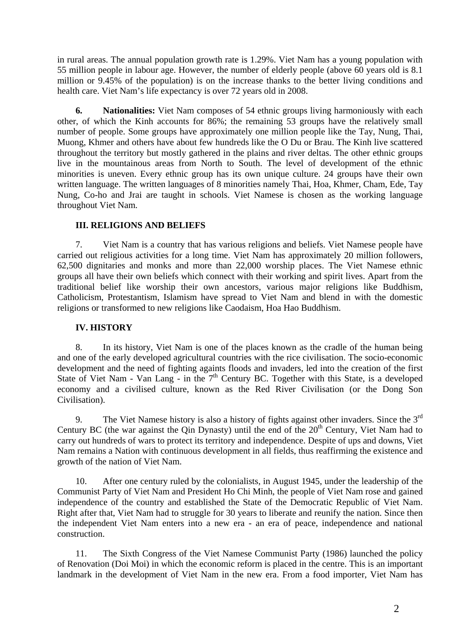in rural areas. The annual population growth rate is 1.29%. Viet Nam has a young population with 55 million people in labour age. However, the number of elderly people (above 60 years old is 8.1 million or 9.45% of the population) is on the increase thanks to the better living conditions and health care. Viet Nam's life expectancy is over 72 years old in 2008.

**6. Nationalities:** Viet Nam composes of 54 ethnic groups living harmoniously with each other, of which the Kinh accounts for 86%; the remaining 53 groups have the relatively small number of people. Some groups have approximately one million people like the Tay, Nung, Thai, Muong, Khmer and others have about few hundreds like the O Du or Brau. The Kinh live scattered throughout the territory but mostly gathered in the plains and river deltas. The other ethnic groups live in the mountainous areas from North to South. The level of development of the ethnic minorities is uneven. Every ethnic group has its own unique culture. 24 groups have their own written language. The written languages of 8 minorities namely Thai, Hoa, Khmer, Cham, Ede, Tay Nung, Co-ho and Jrai are taught in schools. Viet Namese is chosen as the working language throughout Viet Nam.

# **III. RELIGIONS AND BELIEFS**

7. Viet Nam is a country that has various religions and beliefs. Viet Namese people have carried out religious activities for a long time. Viet Nam has approximately 20 million followers, 62,500 dignitaries and monks and more than 22,000 worship places. The Viet Namese ethnic groups all have their own beliefs which connect with their working and spirit lives. Apart from the traditional belief like worship their own ancestors, various major religions like Buddhism, Catholicism, Protestantism, Islamism have spread to Viet Nam and blend in with the domestic religions or transformed to new religions like Caodaism, Hoa Hao Buddhism.

# **IV. HISTORY**

8. In its history, Viet Nam is one of the places known as the cradle of the human being and one of the early developed agricultural countries with the rice civilisation. The socio-economic development and the need of fighting againts floods and invaders, led into the creation of the first State of Viet Nam - Van Lang - in the  $7<sup>th</sup>$  Century BC. Together with this State, is a developed economy and a civilised culture, known as the Red River Civilisation (or the Dong Son Civilisation).

9. The Viet Namese history is also a history of fights against other invaders. Since the  $3<sup>rd</sup>$ Century BC (the war against the  $\overline{O}$ in Dynasty) until the end of the  $20<sup>th</sup>$  Century, Viet Nam had to carry out hundreds of wars to protect its territory and independence. Despite of ups and downs, Viet Nam remains a Nation with continuous development in all fields, thus reaffirming the existence and growth of the nation of Viet Nam.

10. After one century ruled by the colonialists, in August 1945, under the leadership of the Communist Party of Viet Nam and President Ho Chi Minh, the people of Viet Nam rose and gained independence of the country and established the State of the Democratic Republic of Viet Nam. Right after that, Viet Nam had to struggle for 30 years to liberate and reunify the nation. Since then the independent Viet Nam enters into a new era - an era of peace, independence and national construction.

11. The Sixth Congress of the Viet Namese Communist Party (1986) launched the policy of Renovation (Doi Moi) in which the economic reform is placed in the centre. This is an important landmark in the development of Viet Nam in the new era. From a food importer, Viet Nam has